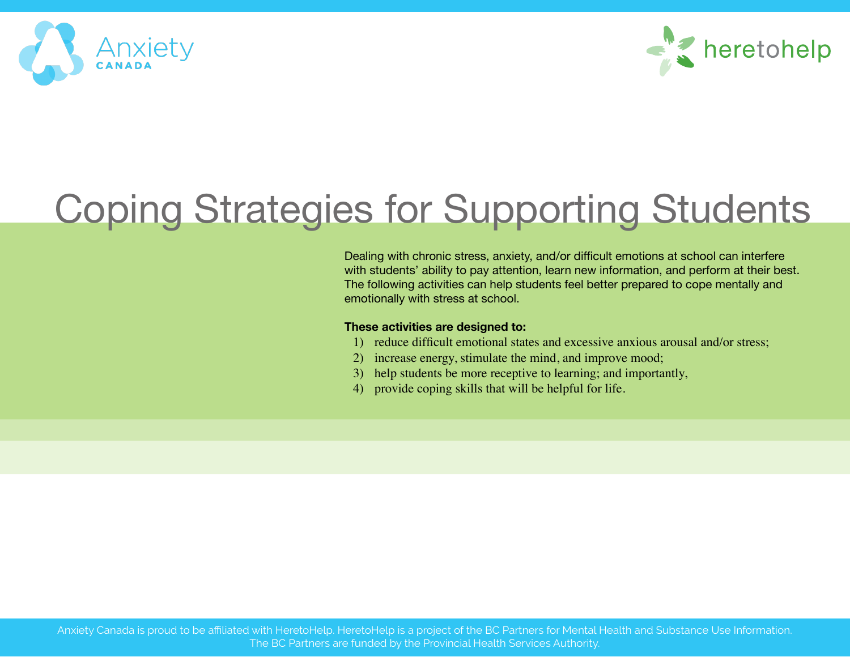



# Coping Strategies for Supporting Students

Dealing with chronic stress, anxiety, and/or difficult emotions at school can interfere with students' ability to pay attention, learn new information, and perform at their best. The following activities can help students feel better prepared to cope mentally and emotionally with stress at school.

#### **These activities are designed to:**

- 1) reduce difficult emotional states and excessive anxious arousal and/or stress;
- 2) increase energy, stimulate the mind, and improve mood;
- 3) help students be more receptive to learning; and importantly,
- 4) provide coping skills that will be helpful for life.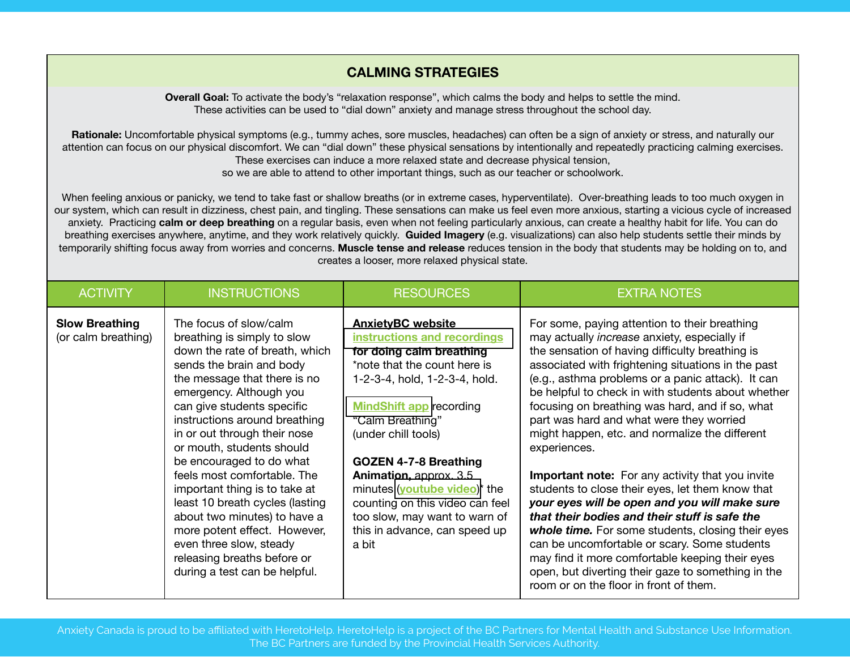# **CALMING STRATEGIES**

**Overall Goal:** To activate the body's "relaxation response", which calms the body and helps to settle the mind. These activities can be used to "dial down" anxiety and manage stress throughout the school day.

**Rationale:** Uncomfortable physical symptoms (e.g., tummy aches, sore muscles, headaches) can often be a sign of anxiety or stress, and naturally our attention can focus on our physical discomfort. We can "dial down" these physical sensations by intentionally and repeatedly practicing calming exercises. These exercises can induce a more relaxed state and decrease physical tension, so we are able to attend to other important things, such as our teacher or schoolwork.

When feeling anxious or panicky, we tend to take fast or shallow breaths (or in extreme cases, hyperventilate). Over-breathing leads to too much oxygen in our system, which can result in dizziness, chest pain, and tingling. These sensations can make us feel even more anxious, starting a vicious cycle of increased anxiety. Practicing **calm or deep breathing** on a regular basis, even when not feeling particularly anxious, can create a healthy habit for life. You can do breathing exercises anywhere, anytime, and they work relatively quickly. **Guided Imagery** (e.g. visualizations) can also help students settle their minds by temporarily shifting focus away from worries and concerns. **Muscle tense and release** reduces tension in the body that students may be holding on to, and creates a looser, more relaxed physical state.

| <b>ACTIVITY</b>                              | <b>INSTRUCTIONS</b>                                                                                                                                                                                                                                                                                                                                                                                                                                                                                                                                                                                  | <b>RESOURCES</b>                                                                                                                                                                                                                                                                                                                                                                                                                          | <b>EXTRA NOTES</b>                                                                                                                                                                                                                                                                                                                                                                                                                                                                                                                                                                                                                                                                                                                                                                                                                                                                                                                                          |
|----------------------------------------------|------------------------------------------------------------------------------------------------------------------------------------------------------------------------------------------------------------------------------------------------------------------------------------------------------------------------------------------------------------------------------------------------------------------------------------------------------------------------------------------------------------------------------------------------------------------------------------------------------|-------------------------------------------------------------------------------------------------------------------------------------------------------------------------------------------------------------------------------------------------------------------------------------------------------------------------------------------------------------------------------------------------------------------------------------------|-------------------------------------------------------------------------------------------------------------------------------------------------------------------------------------------------------------------------------------------------------------------------------------------------------------------------------------------------------------------------------------------------------------------------------------------------------------------------------------------------------------------------------------------------------------------------------------------------------------------------------------------------------------------------------------------------------------------------------------------------------------------------------------------------------------------------------------------------------------------------------------------------------------------------------------------------------------|
| <b>Slow Breathing</b><br>(or calm breathing) | The focus of slow/calm<br>breathing is simply to slow<br>down the rate of breath, which<br>sends the brain and body<br>the message that there is no<br>emergency. Although you<br>can give students specific<br>instructions around breathing<br>in or out through their nose<br>or mouth, students should<br>be encouraged to do what<br>feels most comfortable. The<br>important thing is to take at<br>least 10 breath cycles (lasting<br>about two minutes) to have a<br>more potent effect. However,<br>even three slow, steady<br>releasing breaths before or<br>during a test can be helpful. | <b>AnxietyBC website</b><br>instructions and recordings<br>for doing calm breathing<br>*note that the count here is<br>1-2-3-4, hold, 1-2-3-4, hold.<br><b>MindShift app recording</b><br>"Calm Breathing"<br>(under chill tools)<br><b>GOZEN 4-7-8 Breathing</b><br>Animation, approx. 3.5<br>minutes (youtube video)* the<br>counting on this video can feel<br>too slow, may want to warn of<br>this in advance, can speed up<br>a bit | For some, paying attention to their breathing<br>may actually increase anxiety, especially if<br>the sensation of having difficulty breathing is<br>associated with frightening situations in the past<br>(e.g., asthma problems or a panic attack). It can<br>be helpful to check in with students about whether<br>focusing on breathing was hard, and if so, what<br>part was hard and what were they worried<br>might happen, etc. and normalize the different<br>experiences.<br><b>Important note:</b> For any activity that you invite<br>students to close their eyes, let them know that<br>your eyes will be open and you will make sure<br>that their bodies and their stuff is safe the<br>whole time. For some students, closing their eyes<br>can be uncomfortable or scary. Some students<br>may find it more comfortable keeping their eyes<br>open, but diverting their gaze to something in the<br>room or on the floor in front of them. |

ww.Anxiety.com 2010. Www.Anxiety.com 2010. Www.Anxiety.com 2010. Www.Anxiety.com 2010. Www.Anxiety.com 2010. W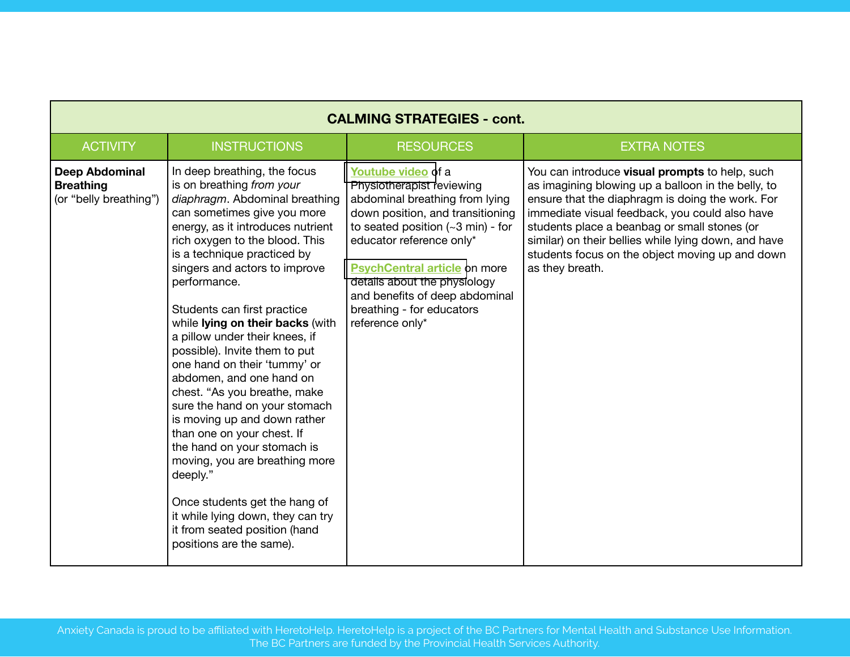| <b>CALMING STRATEGIES - cont.</b>                                   |                                                                                                                                                                                                                                                                                                                                                                                                                                                                                                                                                                                                                                                                                                                                                                                                                                    |                                                                                                                                                                                                                                                                                                                                                           |                                                                                                                                                                                                                                                                                                                                                                                          |  |
|---------------------------------------------------------------------|------------------------------------------------------------------------------------------------------------------------------------------------------------------------------------------------------------------------------------------------------------------------------------------------------------------------------------------------------------------------------------------------------------------------------------------------------------------------------------------------------------------------------------------------------------------------------------------------------------------------------------------------------------------------------------------------------------------------------------------------------------------------------------------------------------------------------------|-----------------------------------------------------------------------------------------------------------------------------------------------------------------------------------------------------------------------------------------------------------------------------------------------------------------------------------------------------------|------------------------------------------------------------------------------------------------------------------------------------------------------------------------------------------------------------------------------------------------------------------------------------------------------------------------------------------------------------------------------------------|--|
| <b>ACTIVITY</b>                                                     | <b>INSTRUCTIONS</b>                                                                                                                                                                                                                                                                                                                                                                                                                                                                                                                                                                                                                                                                                                                                                                                                                | <b>RESOURCES</b>                                                                                                                                                                                                                                                                                                                                          | <b>EXTRA NOTES</b>                                                                                                                                                                                                                                                                                                                                                                       |  |
| <b>Deep Abdominal</b><br><b>Breathing</b><br>(or "belly breathing") | In deep breathing, the focus<br>is on breathing from your<br>diaphragm. Abdominal breathing<br>can sometimes give you more<br>energy, as it introduces nutrient<br>rich oxygen to the blood. This<br>is a technique practiced by<br>singers and actors to improve<br>performance.<br>Students can first practice<br>while lying on their backs (with<br>a pillow under their knees, if<br>possible). Invite them to put<br>one hand on their 'tummy' or<br>abdomen, and one hand on<br>chest. "As you breathe, make<br>sure the hand on your stomach<br>is moving up and down rather<br>than one on your chest. If<br>the hand on your stomach is<br>moving, you are breathing more<br>deeply."<br>Once students get the hang of<br>it while lying down, they can try<br>it from seated position (hand<br>positions are the same). | Youtube video of a<br>Physiotherapist reviewing<br>abdominal breathing from lying<br>down position, and transitioning<br>to seated position $(-3 \text{ min})$ - for<br>educator reference only*<br><b>PsychCentral article on more</b><br>details about the physiology<br>and benefits of deep abdominal<br>breathing - for educators<br>reference only* | You can introduce visual prompts to help, such<br>as imagining blowing up a balloon in the belly, to<br>ensure that the diaphragm is doing the work. For<br>immediate visual feedback, you could also have<br>students place a beanbag or small stones (or<br>similar) on their bellies while lying down, and have<br>students focus on the object moving up and down<br>as they breath. |  |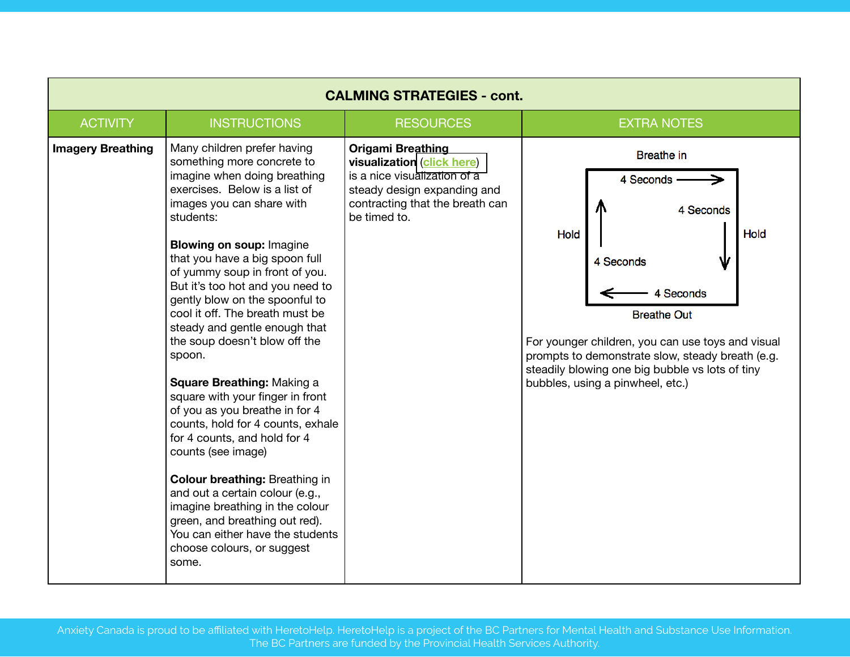| <b>CALMING STRATEGIES - cont.</b> |                                                                                                                                                                                                                                                                                                                                                                                                                                                                                                                                                                                                                                                                                                                                                                                                                                                                                             |                                                                                                                                                                          |                                                                                                                                                                                                                                                                                                             |  |
|-----------------------------------|---------------------------------------------------------------------------------------------------------------------------------------------------------------------------------------------------------------------------------------------------------------------------------------------------------------------------------------------------------------------------------------------------------------------------------------------------------------------------------------------------------------------------------------------------------------------------------------------------------------------------------------------------------------------------------------------------------------------------------------------------------------------------------------------------------------------------------------------------------------------------------------------|--------------------------------------------------------------------------------------------------------------------------------------------------------------------------|-------------------------------------------------------------------------------------------------------------------------------------------------------------------------------------------------------------------------------------------------------------------------------------------------------------|--|
| <b>ACTIVITY</b>                   | <b>INSTRUCTIONS</b>                                                                                                                                                                                                                                                                                                                                                                                                                                                                                                                                                                                                                                                                                                                                                                                                                                                                         | <b>RESOURCES</b>                                                                                                                                                         | <b>EXTRA NOTES</b>                                                                                                                                                                                                                                                                                          |  |
| <b>Imagery Breathing</b>          | Many children prefer having<br>something more concrete to<br>imagine when doing breathing<br>exercises. Below is a list of<br>images you can share with<br>students:<br><b>Blowing on soup: Imagine</b><br>that you have a big spoon full<br>of yummy soup in front of you.<br>But it's too hot and you need to<br>gently blow on the spoonful to<br>cool it off. The breath must be<br>steady and gentle enough that<br>the soup doesn't blow off the<br>spoon.<br>Square Breathing: Making a<br>square with your finger in front<br>of you as you breathe in for 4<br>counts, hold for 4 counts, exhale<br>for 4 counts, and hold for 4<br>counts (see image)<br><b>Colour breathing: Breathing in</b><br>and out a certain colour (e.g.,<br>imagine breathing in the colour<br>green, and breathing out red).<br>You can either have the students<br>choose colours, or suggest<br>some. | <b>Origami Breathing</b><br>visualization (click here)<br>is a nice visualization of a<br>steady design expanding and<br>contracting that the breath can<br>be timed to. | <b>Breathe</b> in<br>4 Seconds<br>4 Seconds<br>Hold<br>Hold<br>4 Seconds<br>4 Seconds<br><b>Breathe Out</b><br>For younger children, you can use toys and visual<br>prompts to demonstrate slow, steady breath (e.g.<br>steadily blowing one big bubble vs lots of tiny<br>bubbles, using a pinwheel, etc.) |  |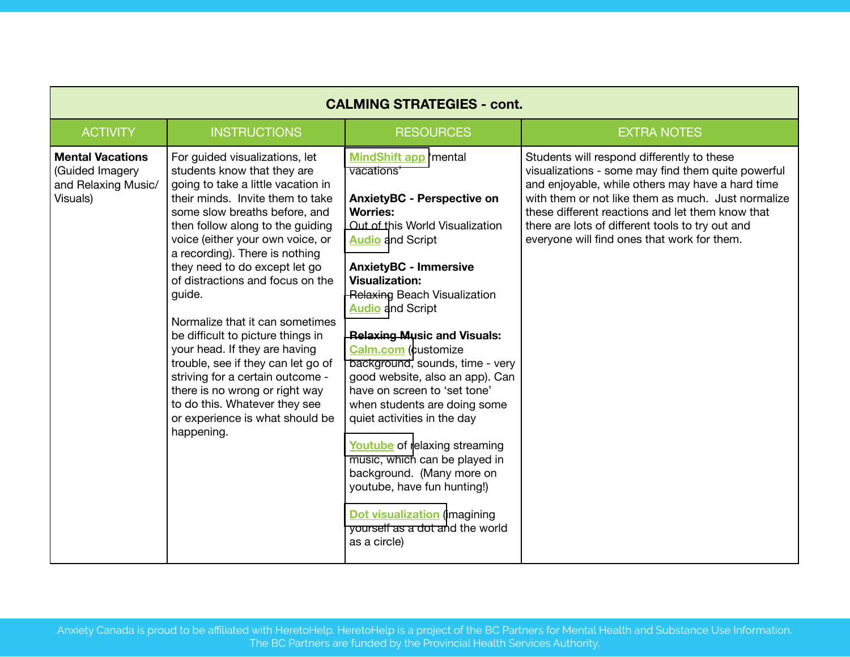|                                                                               | <b>CALMING STRATEGIES - cont.</b>                                                                                                                                                                                                                                                                                                                                                                                                                                                                                                                                                                                                                                        |                                                                                                                                                                                                                                                                                                                                                                                                                                                                                                                                                                                                                                                                                                                                                       |                                                                                                                                                                                                                                                                                                                                                                   |  |  |
|-------------------------------------------------------------------------------|--------------------------------------------------------------------------------------------------------------------------------------------------------------------------------------------------------------------------------------------------------------------------------------------------------------------------------------------------------------------------------------------------------------------------------------------------------------------------------------------------------------------------------------------------------------------------------------------------------------------------------------------------------------------------|-------------------------------------------------------------------------------------------------------------------------------------------------------------------------------------------------------------------------------------------------------------------------------------------------------------------------------------------------------------------------------------------------------------------------------------------------------------------------------------------------------------------------------------------------------------------------------------------------------------------------------------------------------------------------------------------------------------------------------------------------------|-------------------------------------------------------------------------------------------------------------------------------------------------------------------------------------------------------------------------------------------------------------------------------------------------------------------------------------------------------------------|--|--|
| <b>ACTIVITY</b>                                                               | <b>INSTRUCTIONS</b>                                                                                                                                                                                                                                                                                                                                                                                                                                                                                                                                                                                                                                                      | <b>RESOURCES</b>                                                                                                                                                                                                                                                                                                                                                                                                                                                                                                                                                                                                                                                                                                                                      | <b>EXTRA NOTES</b>                                                                                                                                                                                                                                                                                                                                                |  |  |
| <b>Mental Vacations</b><br>(Guided Imagery<br>and Relaxing Music/<br>Visuals) | For guided visualizations, let<br>students know that they are<br>going to take a little vacation in<br>their minds. Invite them to take<br>some slow breaths before, and<br>then follow along to the guiding<br>voice (either your own voice, or<br>a recording). There is nothing<br>they need to do except let go<br>of distractions and focus on the<br>guide.<br>Normalize that it can sometimes<br>be difficult to picture things in<br>your head. If they are having<br>trouble, see if they can let go of<br>striving for a certain outcome -<br>there is no wrong or right way<br>to do this. Whatever they see<br>or experience is what should be<br>happening. | <b>MindShift app 'mental</b><br>vacations'<br><b>AnxietyBC - Perspective on</b><br><b>Worries:</b><br>Out of this World Visualization<br><b>Audio</b> and Script<br><b>AnxietyBC - Immersive</b><br><b>Visualization:</b><br>Relaxing Beach Visualization<br><b>Audio</b> and Script<br><b>Relaxing Music and Visuals:</b><br><b>Calm.com</b> (customize<br>background, sounds, time - very<br>good website, also an app). Can<br>have on screen to 'set tone'<br>when students are doing some<br>quiet activities in the day<br>Youtube of relaxing streaming<br>music, which can be played in<br>background. (Many more on<br>youtube, have fun hunting!)<br><b>Dot visualization</b> (imagining<br>yourself as a dot and the world<br>as a circle) | Students will respond differently to these<br>visualizations - some may find them quite powerful<br>and enjoyable, while others may have a hard time<br>with them or not like them as much. Just normalize<br>these different reactions and let them know that<br>there are lots of different tools to try out and<br>everyone will find ones that work for them. |  |  |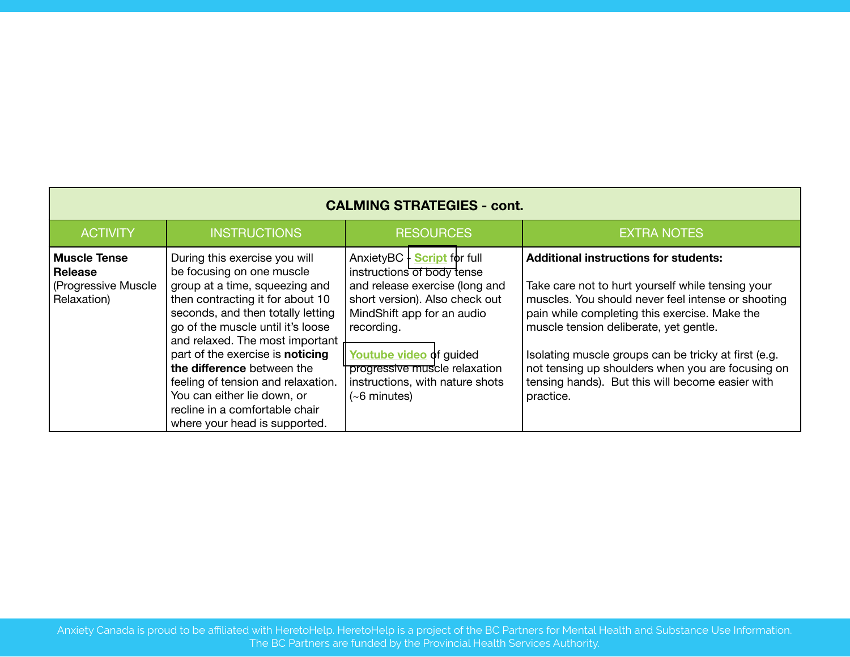| <b>CALMING STRATEGIES - cont.</b>                                            |                                                                                                                                                                                                                                                                                                                                                                                                                                                         |                                                                                                                                                                                                                                                                                                   |                                                                                                                                                                                                                                                                                                                                                                                                                                  |
|------------------------------------------------------------------------------|---------------------------------------------------------------------------------------------------------------------------------------------------------------------------------------------------------------------------------------------------------------------------------------------------------------------------------------------------------------------------------------------------------------------------------------------------------|---------------------------------------------------------------------------------------------------------------------------------------------------------------------------------------------------------------------------------------------------------------------------------------------------|----------------------------------------------------------------------------------------------------------------------------------------------------------------------------------------------------------------------------------------------------------------------------------------------------------------------------------------------------------------------------------------------------------------------------------|
| <b>ACTIVITY</b>                                                              | <b>INSTRUCTIONS</b>                                                                                                                                                                                                                                                                                                                                                                                                                                     | <b>RESOURCES</b>                                                                                                                                                                                                                                                                                  | <b>EXTRA NOTES</b>                                                                                                                                                                                                                                                                                                                                                                                                               |
| <b>Muscle Tense</b><br><b>Release</b><br>(Progressive Muscle)<br>Relaxation) | During this exercise you will<br>be focusing on one muscle<br>group at a time, squeezing and<br>then contracting it for about 10<br>seconds, and then totally letting<br>go of the muscle until it's loose<br>and relaxed. The most important<br>part of the exercise is noticing<br>the difference between the<br>feeling of tension and relaxation.<br>You can either lie down, or<br>recline in a comfortable chair<br>where your head is supported. | AnxietyBC - <b>Script</b> for full<br>instructions of body tense<br>and release exercise (long and<br>short version). Also check out<br>MindShift app for an audio<br>recording.<br>Youtube video of guided<br>progressive muscle relaxation<br>instructions, with nature shots<br>$(-6$ minutes) | <b>Additional instructions for students:</b><br>Take care not to hurt yourself while tensing your<br>muscles. You should never feel intense or shooting<br>pain while completing this exercise. Make the<br>muscle tension deliberate, yet gentle.<br>Isolating muscle groups can be tricky at first (e.g.<br>not tensing up shoulders when you are focusing on<br>tensing hands). But this will become easier with<br>practice. |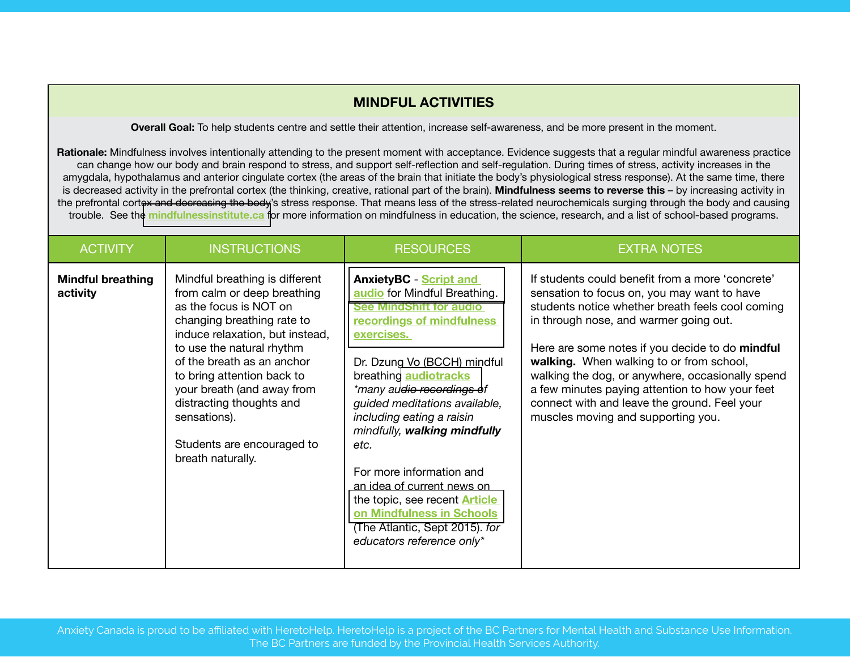### **MINDFUL ACTIVITIES**

**Overall Goal:** To help students centre and settle their attention, increase self-awareness, and be more present in the moment.

**Rationale:** Mindfulness involves intentionally attending to the present moment with acceptance. Evidence suggests that a regular mindful awareness practice can change how our body and brain respond to stress, and support self-reflection and self-regulation. During times of stress, activity increases in the amygdala, hypothalamus and anterior cingulate cortex (the areas of the brain that initiate the body's physiological stress response). At the same time, there is decreased activity in the prefrontal cortex (the thinking, creative, rational part of the brain). **Mindfulness seems to reverse this** – by increasing activity in the prefrontal cortex and decreasing the body's stress response. That means less of the stress-related neurochemicals surging through the body and causing trouble. See the **[mindfulnessinstitute.ca](http://www.mindfulnessinstitute.ca/mindfulness-in-education/)** for more information on mindfulness in education, the science, research, and a list of school-based programs.

| <b>ACTIVITY</b>                      | <b>INSTRUCTIONS</b>                                                                                                                                                                                                                                                                                                                                                            | <b>RESOURCES</b>                                                                                                                                                                                                                                                                                                                                                                                                                                                                                                                           | <b>EXTRA NOTES</b>                                                                                                                                                                                                                                                                                                                                                                                                                                                                        |
|--------------------------------------|--------------------------------------------------------------------------------------------------------------------------------------------------------------------------------------------------------------------------------------------------------------------------------------------------------------------------------------------------------------------------------|--------------------------------------------------------------------------------------------------------------------------------------------------------------------------------------------------------------------------------------------------------------------------------------------------------------------------------------------------------------------------------------------------------------------------------------------------------------------------------------------------------------------------------------------|-------------------------------------------------------------------------------------------------------------------------------------------------------------------------------------------------------------------------------------------------------------------------------------------------------------------------------------------------------------------------------------------------------------------------------------------------------------------------------------------|
| <b>Mindful breathing</b><br>activity | Mindful breathing is different<br>from calm or deep breathing<br>as the focus is NOT on<br>changing breathing rate to<br>induce relaxation, but instead,<br>to use the natural rhythm<br>of the breath as an anchor<br>to bring attention back to<br>your breath (and away from<br>distracting thoughts and<br>sensations).<br>Students are encouraged to<br>breath naturally. | <b>AnxietyBC - Script and</b><br>audio for Mindful Breathing.<br><b>See MindShift for audio</b><br>recordings of mindfulness<br>exercises.<br>Dr. Dzung Vo (BCCH) mindful<br>breathing <b>audiotracks</b><br>*many audio recordings of<br>guided meditations available,<br>including eating a raisin<br>mindfully, walking mindfully<br>etc.<br>For more information and<br>an idea of current news on<br>the topic, see recent <b>Article</b><br>on Mindfulness in Schools<br>(The Atlantic, Sept 2015). for<br>educators reference only* | If students could benefit from a more 'concrete'<br>sensation to focus on, you may want to have<br>students notice whether breath feels cool coming<br>in through nose, and warmer going out.<br>Here are some notes if you decide to do mindful<br>walking. When walking to or from school,<br>walking the dog, or anywhere, occasionally spend<br>a few minutes paying attention to how your feet<br>connect with and leave the ground. Feel your<br>muscles moving and supporting you. |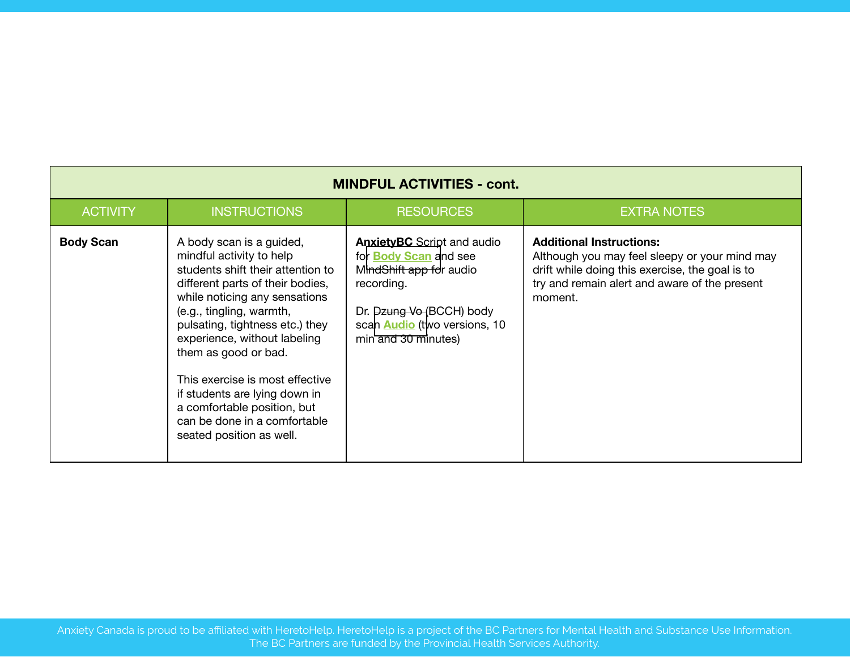| <b>MINDFUL ACTIVITIES - cont.</b> |                                                                                                                                                                                                                                                                                                                                                                                                                                                      |                                                                                                                                                                                                      |                                                                                                                                                                                                 |  |
|-----------------------------------|------------------------------------------------------------------------------------------------------------------------------------------------------------------------------------------------------------------------------------------------------------------------------------------------------------------------------------------------------------------------------------------------------------------------------------------------------|------------------------------------------------------------------------------------------------------------------------------------------------------------------------------------------------------|-------------------------------------------------------------------------------------------------------------------------------------------------------------------------------------------------|--|
| <b>ACTIVITY</b>                   | <b>INSTRUCTIONS</b>                                                                                                                                                                                                                                                                                                                                                                                                                                  | <b>RESOURCES</b>                                                                                                                                                                                     | <b>EXTRA NOTES</b>                                                                                                                                                                              |  |
| <b>Body Scan</b>                  | A body scan is a guided,<br>mindful activity to help<br>students shift their attention to<br>different parts of their bodies,<br>while noticing any sensations<br>(e.g., tingling, warmth,<br>pulsating, tightness etc.) they<br>experience, without labeling<br>them as good or bad.<br>This exercise is most effective<br>if students are lying down in<br>a comfortable position, but<br>can be done in a comfortable<br>seated position as well. | <b>AnxietyBC</b> Script and audio<br>for <b>Body Scan</b> and see<br>MindShift app for audio<br>recording.<br>Dr. Dzung Vo (BCCH) body<br>scan <b>Audio</b> (two versions, 10<br>min and 30 minutes) | <b>Additional Instructions:</b><br>Although you may feel sleepy or your mind may<br>drift while doing this exercise, the goal is to<br>try and remain alert and aware of the present<br>moment. |  |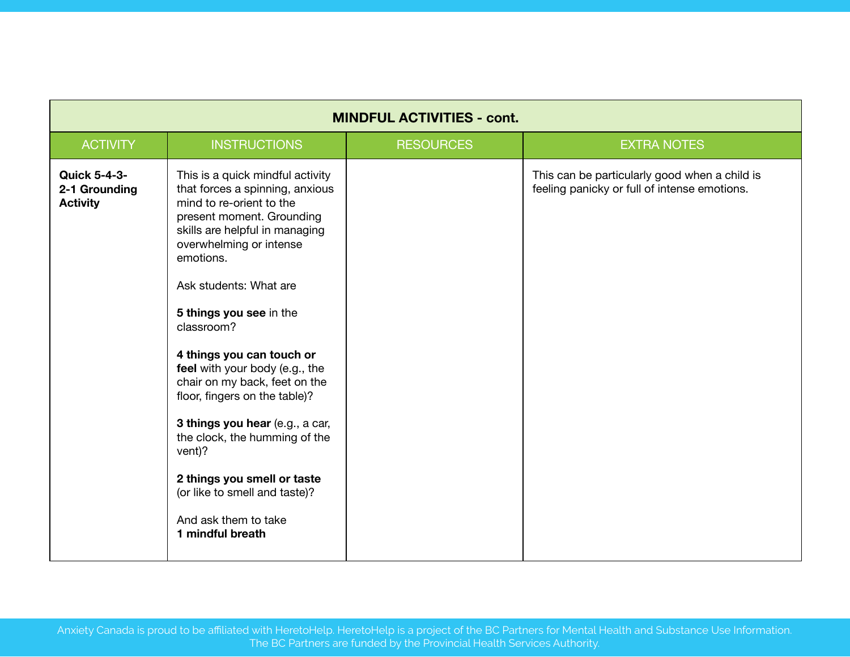| <b>MINDFUL ACTIVITIES - cont.</b>                       |                                                                                                                                                                                                                                                                                                                                                                                                                                                                                                                                                                                                      |                  |                                                                                               |  |
|---------------------------------------------------------|------------------------------------------------------------------------------------------------------------------------------------------------------------------------------------------------------------------------------------------------------------------------------------------------------------------------------------------------------------------------------------------------------------------------------------------------------------------------------------------------------------------------------------------------------------------------------------------------------|------------------|-----------------------------------------------------------------------------------------------|--|
| <b>ACTIVITY</b>                                         | <b>INSTRUCTIONS</b>                                                                                                                                                                                                                                                                                                                                                                                                                                                                                                                                                                                  | <b>RESOURCES</b> | <b>EXTRA NOTES</b>                                                                            |  |
| <b>Quick 5-4-3-</b><br>2-1 Grounding<br><b>Activity</b> | This is a quick mindful activity<br>that forces a spinning, anxious<br>mind to re-orient to the<br>present moment. Grounding<br>skills are helpful in managing<br>overwhelming or intense<br>emotions.<br>Ask students: What are<br>5 things you see in the<br>classroom?<br>4 things you can touch or<br>feel with your body (e.g., the<br>chair on my back, feet on the<br>floor, fingers on the table)?<br>3 things you hear (e.g., a car,<br>the clock, the humming of the<br>vent)?<br>2 things you smell or taste<br>(or like to smell and taste)?<br>And ask them to take<br>1 mindful breath |                  | This can be particularly good when a child is<br>feeling panicky or full of intense emotions. |  |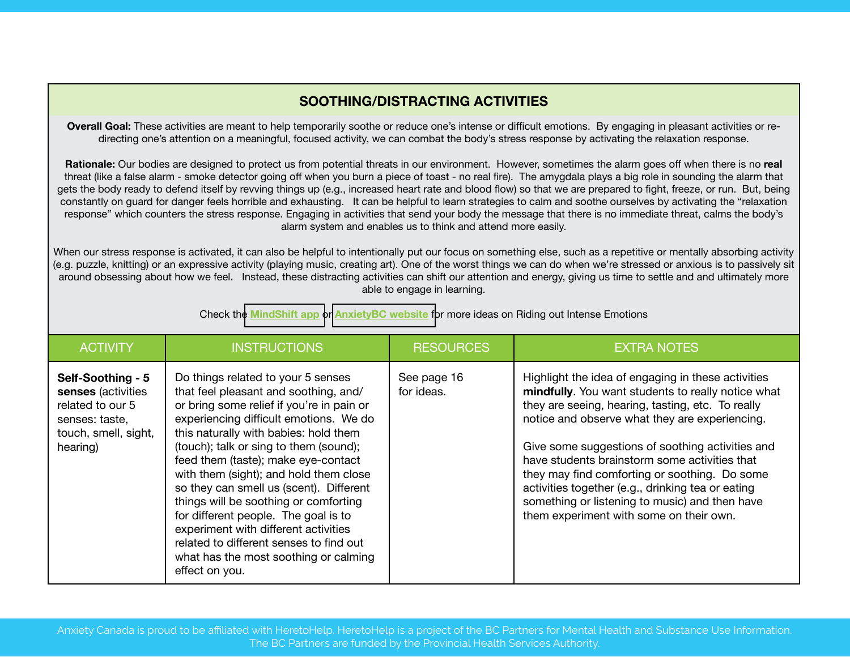# **SOOTHING/DISTRACTING ACTIVITIES**

**Overall Goal:** These activities are meant to help temporarily soothe or reduce one's intense or difficult emotions. By engaging in pleasant activities or redirecting one's attention on a meaningful, focused activity, we can combat the body's stress response by activating the relaxation response.

**Rationale:** Our bodies are designed to protect us from potential threats in our environment. However, sometimes the alarm goes off when there is no **real**  threat (like a false alarm - smoke detector going off when you burn a piece of toast - no real fire). The amygdala plays a big role in sounding the alarm that gets the body ready to defend itself by revving things up (e.g., increased heart rate and blood flow) so that we are prepared to fight, freeze, or run. But, being constantly on guard for danger feels horrible and exhausting. It can be helpful to learn strategies to calm and soothe ourselves by activating the "relaxation response" which counters the stress response. Engaging in activities that send your body the message that there is no immediate threat, calms the body's alarm system and enables us to think and attend more easily.

When our stress response is activated, it can also be helpful to intentionally put our focus on something else, such as a repetitive or mentally absorbing activity (e.g. puzzle, knitting) or an expressive activity (playing music, creating art). One of the worst things we can do when we're stressed or anxious is to passively sit around obsessing about how we feel. Instead, these distracting activities can shift our attention and energy, giving us time to settle and and ultimately more able to engage in learning.

Check the **[MindShift app](https://www.anxietycanada.com/resources/mindshift-app)** or **[AnxietyBC website](https://www.anxietycanada.com/)** for more ideas on Riding out Intense Emotions

| <b>ACTIVITY</b>                                                                                                   | <b>INSTRUCTIONS</b>                                                                                                                                                                                                                                                                                                                                                                                                                                                                                                                                                                                              | <b>RESOURCES</b>          | <b>EXTRA NOTES</b>                                                                                                                                                                                                                                                                                                                                                                                                                                                                                                      |
|-------------------------------------------------------------------------------------------------------------------|------------------------------------------------------------------------------------------------------------------------------------------------------------------------------------------------------------------------------------------------------------------------------------------------------------------------------------------------------------------------------------------------------------------------------------------------------------------------------------------------------------------------------------------------------------------------------------------------------------------|---------------------------|-------------------------------------------------------------------------------------------------------------------------------------------------------------------------------------------------------------------------------------------------------------------------------------------------------------------------------------------------------------------------------------------------------------------------------------------------------------------------------------------------------------------------|
| Self-Soothing - 5<br>senses (activities<br>related to our 5<br>senses: taste,<br>touch, smell, sight,<br>hearing) | Do things related to your 5 senses<br>that feel pleasant and soothing, and/<br>or bring some relief if you're in pain or<br>experiencing difficult emotions. We do<br>this naturally with babies: hold them<br>(touch); talk or sing to them (sound);<br>feed them (taste); make eye-contact<br>with them (sight); and hold them close<br>so they can smell us (scent). Different<br>things will be soothing or comforting<br>for different people. The goal is to<br>experiment with different activities<br>related to different senses to find out<br>what has the most soothing or calming<br>effect on you. | See page 16<br>for ideas. | Highlight the idea of engaging in these activities<br>mindfully. You want students to really notice what<br>they are seeing, hearing, tasting, etc. To really<br>notice and observe what they are experiencing.<br>Give some suggestions of soothing activities and<br>have students brainstorm some activities that<br>they may find comforting or soothing. Do some<br>activities together (e.g., drinking tea or eating<br>something or listening to music) and then have<br>them experiment with some on their own. |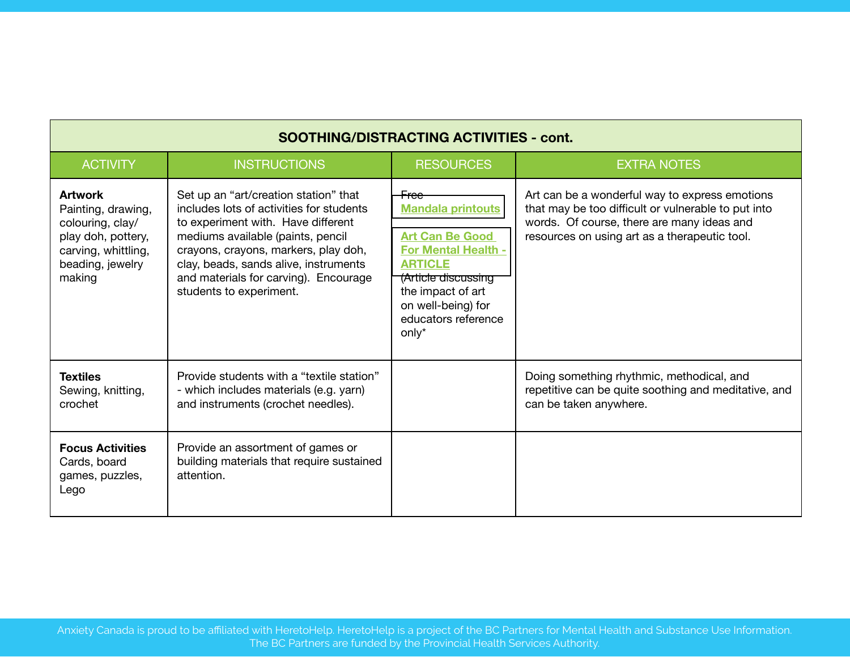| <b>SOOTHING/DISTRACTING ACTIVITIES - cont.</b>                                                                                      |                                                                                                                                                                                                                                                                                                                   |                                                                                                                                                                                                                 |                                                                                                                                                                                                      |  |
|-------------------------------------------------------------------------------------------------------------------------------------|-------------------------------------------------------------------------------------------------------------------------------------------------------------------------------------------------------------------------------------------------------------------------------------------------------------------|-----------------------------------------------------------------------------------------------------------------------------------------------------------------------------------------------------------------|------------------------------------------------------------------------------------------------------------------------------------------------------------------------------------------------------|--|
| <b>ACTIVITY</b>                                                                                                                     | <b>INSTRUCTIONS</b>                                                                                                                                                                                                                                                                                               | <b>RESOURCES</b>                                                                                                                                                                                                | <b>EXTRA NOTES</b>                                                                                                                                                                                   |  |
| <b>Artwork</b><br>Painting, drawing,<br>colouring, clay/<br>play doh, pottery,<br>carving, whittling,<br>beading, jewelry<br>making | Set up an "art/creation station" that<br>includes lots of activities for students<br>to experiment with. Have different<br>mediums available (paints, pencil<br>crayons, crayons, markers, play doh,<br>clay, beads, sands alive, instruments<br>and materials for carving). Encourage<br>students to experiment. | Free<br><b>Mandala printouts</b><br><b>Art Can Be Good</b><br><b>For Mental Health -</b><br><b>ARTICLE</b><br>(Article discussing<br>the impact of art<br>on well-being) for<br>educators reference<br>$only^*$ | Art can be a wonderful way to express emotions<br>that may be too difficult or vulnerable to put into<br>words. Of course, there are many ideas and<br>resources on using art as a therapeutic tool. |  |
| <b>Textiles</b><br>Sewing, knitting,<br>crochet                                                                                     | Provide students with a "textile station"<br>- which includes materials (e.g. yarn)<br>and instruments (crochet needles).                                                                                                                                                                                         |                                                                                                                                                                                                                 | Doing something rhythmic, methodical, and<br>repetitive can be quite soothing and meditative, and<br>can be taken anywhere.                                                                          |  |
| <b>Focus Activities</b><br>Cards, board<br>games, puzzles,<br>Lego                                                                  | Provide an assortment of games or<br>building materials that require sustained<br>attention.                                                                                                                                                                                                                      |                                                                                                                                                                                                                 |                                                                                                                                                                                                      |  |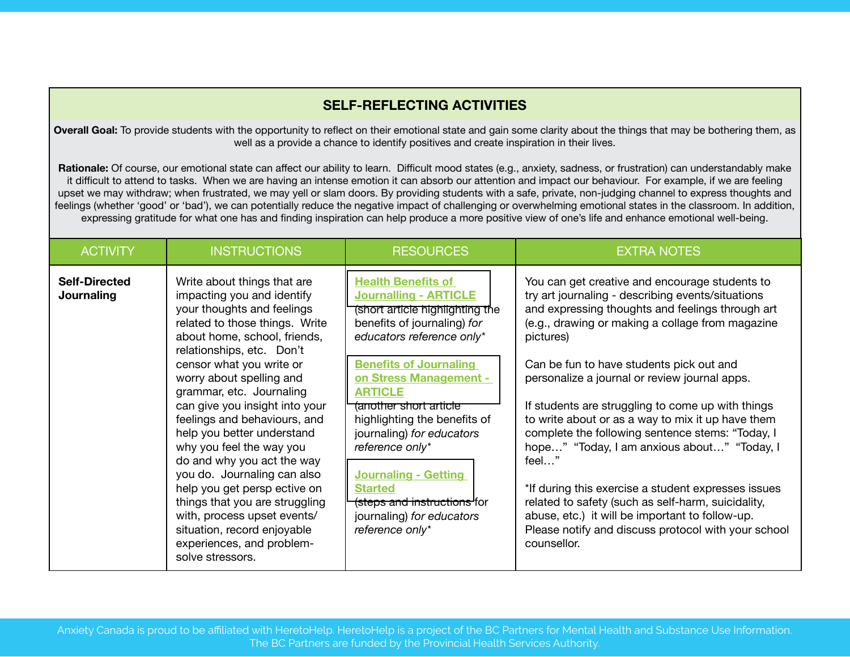# **SELF-REFLECTING ACTIVITIES**

**Overall Goal:** To provide students with the opportunity to reflect on their emotional state and gain some clarity about the things that may be bothering them, as well as a provide a chance to identify positives and create inspiration in their lives.

**Rationale:** Of course, our emotional state can affect our ability to learn. Difficult mood states (e.g., anxiety, sadness, or frustration) can understandably make it difficult to attend to tasks. When we are having an intense emotion it can absorb our attention and impact our behaviour. For example, if we are feeling upset we may withdraw; when frustrated, we may yell or slam doors. By providing students with a safe, private, non-judging channel to express thoughts and feelings (whether 'good' or 'bad'), we can potentially reduce the negative impact of challenging or overwhelming emotional states in the classroom. In addition, expressing gratitude for what one has and finding inspiration can help produce a more positive view of one's life and enhance emotional well-being.

| <b>ACTIVITY</b>                    | <b>INSTRUCTIONS</b>                                                                                                                                                                                                                                                                                                                                                                                                                                                                                                                                                                                                                                  | <b>RESOURCES</b>                                                                                                                                                                                                                                                                                                                                                                                                                                                                | <b>EXTRA NOTES</b>                                                                                                                                                                                                                                                                                                                                                                                                                                                                                                                                                                                                                                                                                                                                                                |
|------------------------------------|------------------------------------------------------------------------------------------------------------------------------------------------------------------------------------------------------------------------------------------------------------------------------------------------------------------------------------------------------------------------------------------------------------------------------------------------------------------------------------------------------------------------------------------------------------------------------------------------------------------------------------------------------|---------------------------------------------------------------------------------------------------------------------------------------------------------------------------------------------------------------------------------------------------------------------------------------------------------------------------------------------------------------------------------------------------------------------------------------------------------------------------------|-----------------------------------------------------------------------------------------------------------------------------------------------------------------------------------------------------------------------------------------------------------------------------------------------------------------------------------------------------------------------------------------------------------------------------------------------------------------------------------------------------------------------------------------------------------------------------------------------------------------------------------------------------------------------------------------------------------------------------------------------------------------------------------|
| <b>Self-Directed</b><br>Journaling | Write about things that are<br>impacting you and identify<br>your thoughts and feelings<br>related to those things. Write<br>about home, school, friends,<br>relationships, etc. Don't<br>censor what you write or<br>worry about spelling and<br>grammar, etc. Journaling<br>can give you insight into your<br>feelings and behaviours, and<br>help you better understand<br>why you feel the way you<br>do and why you act the way<br>you do. Journaling can also<br>help you get persp ective on<br>things that you are struggling<br>with, process upset events/<br>situation, record enjoyable<br>experiences, and problem-<br>solve stressors. | <b>Health Benefits of</b><br><b>Journalling - ARTICLE</b><br>(short article highlighting the<br>benefits of journaling) for<br>educators reference only*<br><b>Benefits of Journaling</b><br>on Stress Management -<br><b>ARTICLE</b><br>(another short article<br>highlighting the benefits of<br>journaling) for educators<br>reference only*<br><b>Journaling - Getting</b><br><b>Started</b><br>(steps and instructions for<br>journaling) for educators<br>reference only* | You can get creative and encourage students to<br>try art journaling - describing events/situations<br>and expressing thoughts and feelings through art<br>(e.g., drawing or making a collage from magazine<br>pictures)<br>Can be fun to have students pick out and<br>personalize a journal or review journal apps.<br>If students are struggling to come up with things<br>to write about or as a way to mix it up have them<br>complete the following sentence stems: "Today, I<br>hope" "Today, I am anxious about" "Today, I<br>feel"<br>*If during this exercise a student expresses issues<br>related to safety (such as self-harm, suicidality,<br>abuse, etc.) it will be important to follow-up.<br>Please notify and discuss protocol with your school<br>counsellor. |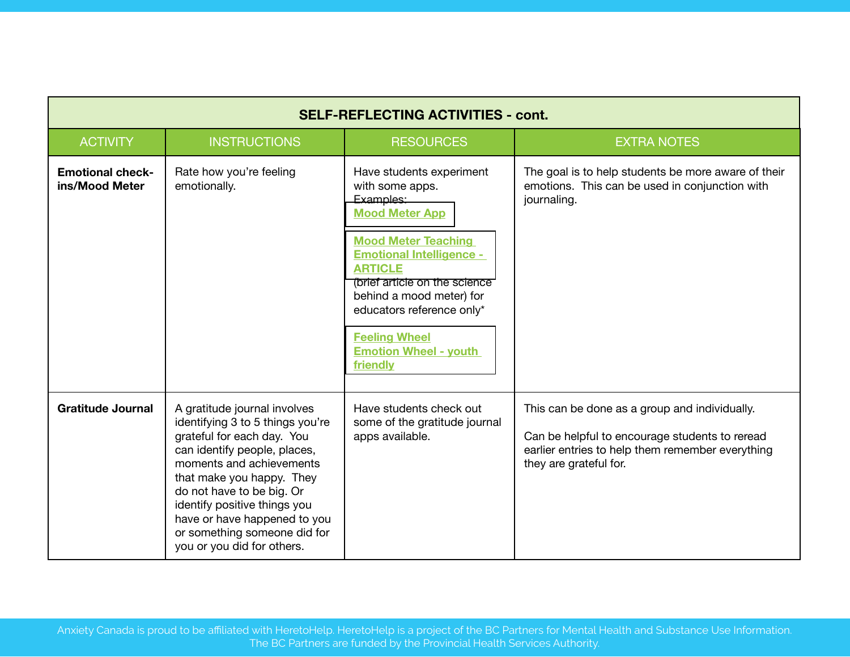| <b>SELF-REFLECTING ACTIVITIES - cont.</b> |                                                                                                                                                                                                                                                                                                                                                    |                                                                                                                                                                                                                                                                                                                                    |                                                                                                                                                                               |
|-------------------------------------------|----------------------------------------------------------------------------------------------------------------------------------------------------------------------------------------------------------------------------------------------------------------------------------------------------------------------------------------------------|------------------------------------------------------------------------------------------------------------------------------------------------------------------------------------------------------------------------------------------------------------------------------------------------------------------------------------|-------------------------------------------------------------------------------------------------------------------------------------------------------------------------------|
| <b>ACTIVITY</b>                           | <b>INSTRUCTIONS</b>                                                                                                                                                                                                                                                                                                                                | <b>RESOURCES</b>                                                                                                                                                                                                                                                                                                                   | <b>EXTRA NOTES</b>                                                                                                                                                            |
| <b>Emotional check-</b><br>ins/Mood Meter | Rate how you're feeling<br>emotionally.                                                                                                                                                                                                                                                                                                            | Have students experiment<br>with some apps.<br>Examples:<br><b>Mood Meter App</b><br><b>Mood Meter Teaching</b><br><b>Emotional Intelligence -</b><br><b>ARTICLE</b><br>(brief article on the science<br>behind a mood meter) for<br>educators reference only*<br><b>Feeling Wheel</b><br><b>Emotion Wheel - youth</b><br>friendly | The goal is to help students be more aware of their<br>emotions. This can be used in conjunction with<br>journaling.                                                          |
| <b>Gratitude Journal</b>                  | A gratitude journal involves<br>identifying 3 to 5 things you're<br>grateful for each day. You<br>can identify people, places,<br>moments and achievements<br>that make you happy. They<br>do not have to be big. Or<br>identify positive things you<br>have or have happened to you<br>or something someone did for<br>you or you did for others. | Have students check out<br>some of the gratitude journal<br>apps available.                                                                                                                                                                                                                                                        | This can be done as a group and individually.<br>Can be helpful to encourage students to reread<br>earlier entries to help them remember everything<br>they are grateful for. |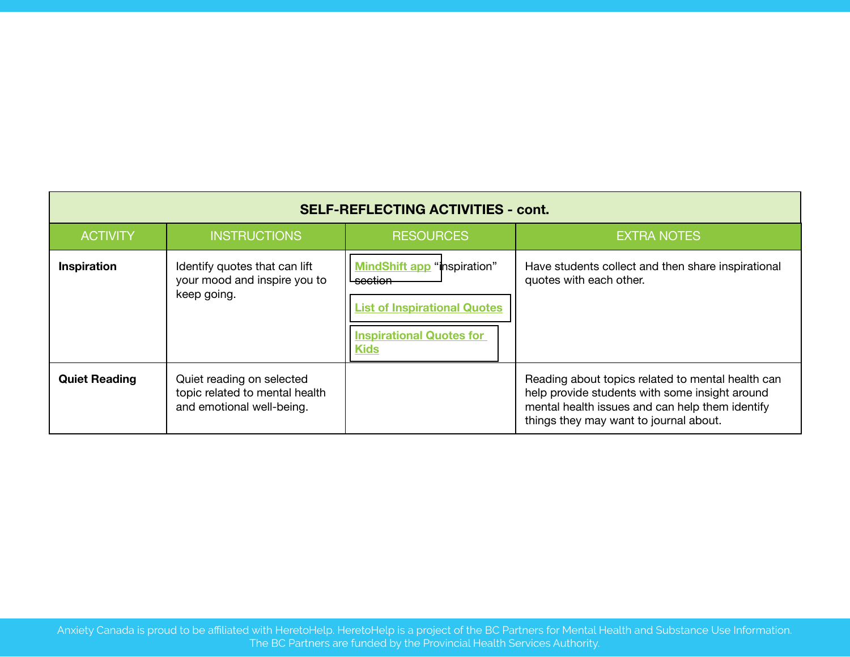| <b>SELF-REFLECTING ACTIVITIES - cont.</b> |                                                                                          |                                                                                                                                        |                                                                                                                                                                                                  |  |  |  |
|-------------------------------------------|------------------------------------------------------------------------------------------|----------------------------------------------------------------------------------------------------------------------------------------|--------------------------------------------------------------------------------------------------------------------------------------------------------------------------------------------------|--|--|--|
| <b>ACTIVITY</b>                           | <b>INSTRUCTIONS</b>                                                                      | <b>RESOURCES</b>                                                                                                                       | <b>EXTRA NOTES</b>                                                                                                                                                                               |  |  |  |
| Inspiration                               | Identify quotes that can lift<br>your mood and inspire you to<br>keep going.             | <b>MindShift app</b> "inspiration"<br>section<br><b>List of Inspirational Quotes</b><br><b>Inspirational Quotes for</b><br><b>Kids</b> | Have students collect and then share inspirational<br>quotes with each other.                                                                                                                    |  |  |  |
| <b>Quiet Reading</b>                      | Quiet reading on selected<br>topic related to mental health<br>and emotional well-being. |                                                                                                                                        | Reading about topics related to mental health can<br>help provide students with some insight around<br>mental health issues and can help them identify<br>things they may want to journal about. |  |  |  |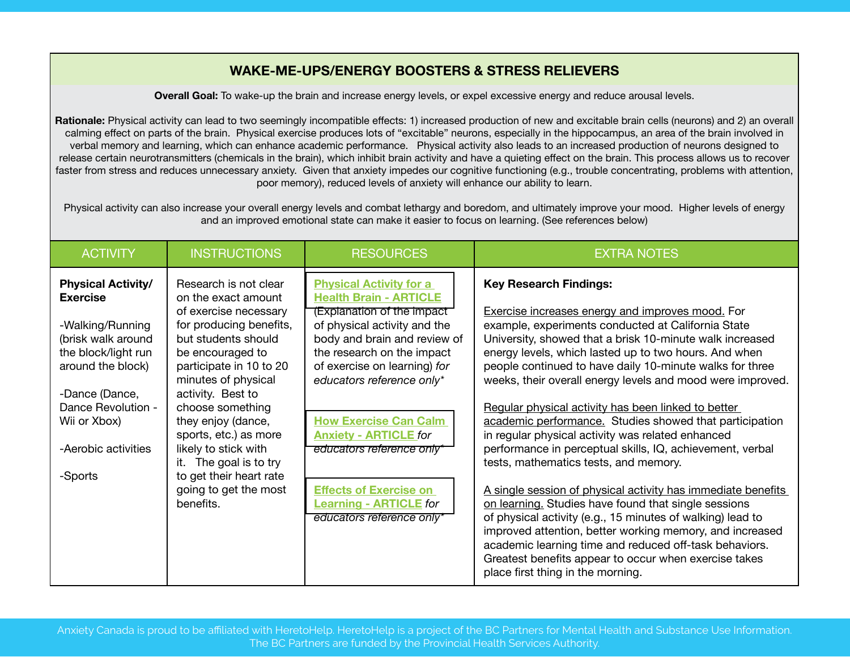# **WAKE-ME-UPS/ENERGY BOOSTERS & STRESS RELIEVERS**

**Overall Goal:** To wake-up the brain and increase energy levels, or expel excessive energy and reduce arousal levels.

**Rationale:** Physical activity can lead to two seemingly incompatible effects: 1) increased production of new and excitable brain cells (neurons) and 2) an overall calming effect on parts of the brain. Physical exercise produces lots of "excitable" neurons, especially in the hippocampus, an area of the brain involved in verbal memory and learning, which can enhance academic performance. Physical activity also leads to an increased production of neurons designed to release certain neurotransmitters (chemicals in the brain), which inhibit brain activity and have a quieting effect on the brain. This process allows us to recover faster from stress and reduces unnecessary anxiety. Given that anxiety impedes our cognitive functioning (e.g., trouble concentrating, problems with attention, poor memory), reduced levels of anxiety will enhance our ability to learn.

Physical activity can also increase your overall energy levels and combat lethargy and boredom, and ultimately improve your mood. Higher levels of energy and an improved emotional state can make it easier to focus on learning. (See references below)

| <b>ACTIVITY</b>                                                                                                                                                                                                              | <b>INSTRUCTIONS</b>                                                                                                                                                                                                                                                                                                                                                                                      | <b>RESOURCES</b>                                                                                                                                                                                                                                                                                                                                                                                                                                     | <b>EXTRA NOTES</b>                                                                                                                                                                                                                                                                                                                                                                                                                                                                                                                                                                                                                                                                                                                                                                                                                                                                                                                                                                                                                                                                   |
|------------------------------------------------------------------------------------------------------------------------------------------------------------------------------------------------------------------------------|----------------------------------------------------------------------------------------------------------------------------------------------------------------------------------------------------------------------------------------------------------------------------------------------------------------------------------------------------------------------------------------------------------|------------------------------------------------------------------------------------------------------------------------------------------------------------------------------------------------------------------------------------------------------------------------------------------------------------------------------------------------------------------------------------------------------------------------------------------------------|--------------------------------------------------------------------------------------------------------------------------------------------------------------------------------------------------------------------------------------------------------------------------------------------------------------------------------------------------------------------------------------------------------------------------------------------------------------------------------------------------------------------------------------------------------------------------------------------------------------------------------------------------------------------------------------------------------------------------------------------------------------------------------------------------------------------------------------------------------------------------------------------------------------------------------------------------------------------------------------------------------------------------------------------------------------------------------------|
| <b>Physical Activity/</b><br><b>Exercise</b><br>-Walking/Running<br>(brisk walk around<br>the block/light run<br>around the block)<br>-Dance (Dance,<br>Dance Revolution -<br>Wii or Xbox)<br>-Aerobic activities<br>-Sports | Research is not clear<br>on the exact amount<br>of exercise necessary<br>for producing benefits,<br>but students should<br>be encouraged to<br>participate in 10 to 20<br>minutes of physical<br>activity. Best to<br>choose something<br>they enjoy (dance,<br>sports, etc.) as more<br>likely to stick with<br>it. The goal is to try<br>to get their heart rate<br>going to get the most<br>benefits. | <b>Physical Activity for a</b><br><b>Health Brain - ARTICLE</b><br>(Explanation of the impact<br>of physical activity and the<br>body and brain and review of<br>the research on the impact<br>of exercise on learning) for<br>educators reference only*<br><b>How Exercise Can Calm</b><br><b>Anxiety - ARTICLE for</b><br>educators reference only*<br><b>Effects of Exercise on</b><br><b>Learning - ARTICLE for</b><br>educators reference only* | <b>Key Research Findings:</b><br><b>Exercise increases energy and improves mood.</b> For<br>example, experiments conducted at California State<br>University, showed that a brisk 10-minute walk increased<br>energy levels, which lasted up to two hours. And when<br>people continued to have daily 10-minute walks for three<br>weeks, their overall energy levels and mood were improved.<br>Regular physical activity has been linked to better<br>academic performance. Studies showed that participation<br>in regular physical activity was related enhanced<br>performance in perceptual skills, IQ, achievement, verbal<br>tests, mathematics tests, and memory.<br>A single session of physical activity has immediate benefits<br>on learning. Studies have found that single sessions<br>of physical activity (e.g., 15 minutes of walking) lead to<br>improved attention, better working memory, and increased<br>academic learning time and reduced off-task behaviors.<br>Greatest benefits appear to occur when exercise takes<br>place first thing in the morning. |